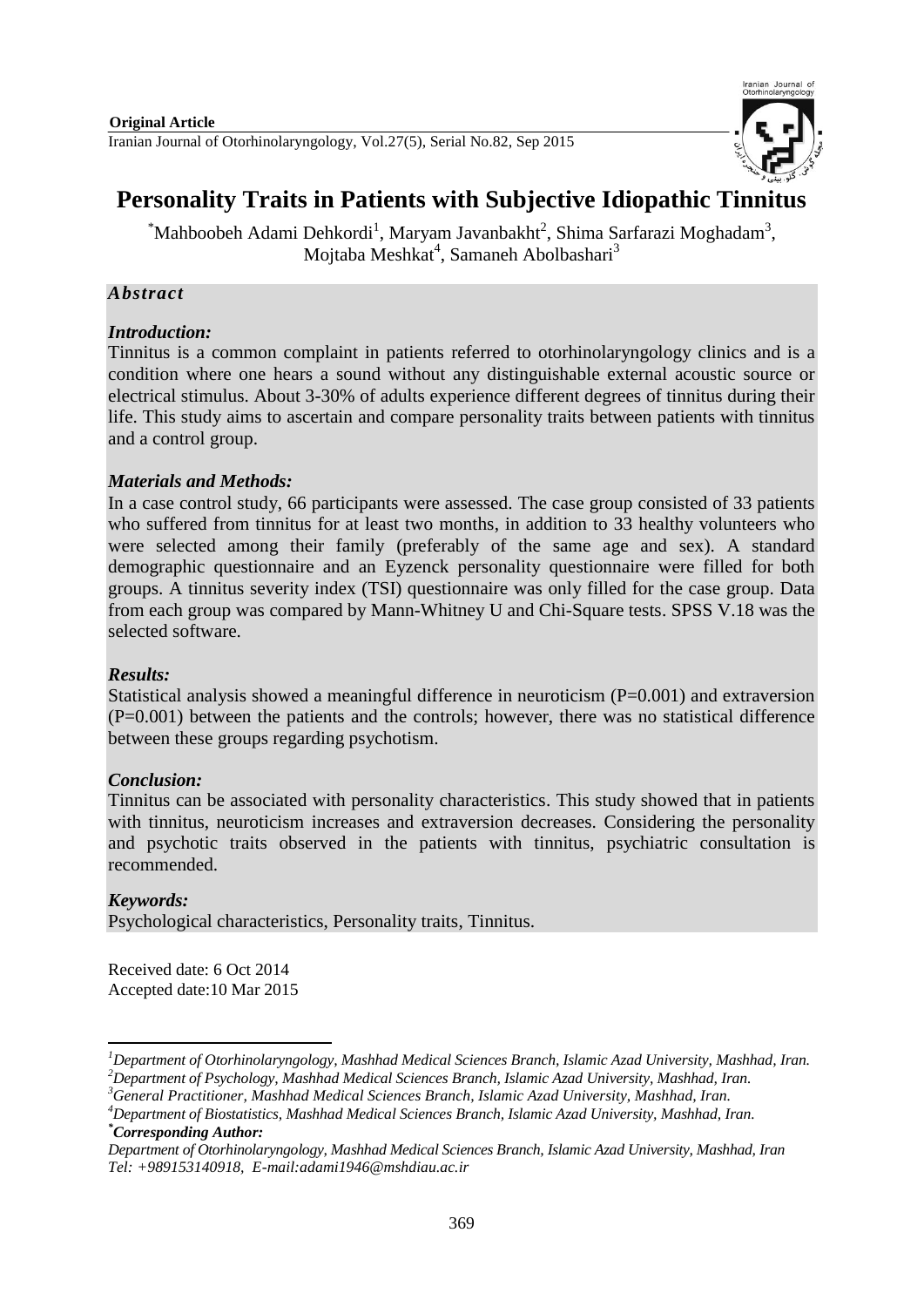

# **Personality Traits in Patients with Subjective Idiopathic Tinnitus**

 ${}^*$ Mahboobeh Adami Dehkordi<sup>1</sup>, Maryam Javanbakht<sup>2</sup>, Shima Sarfarazi Moghadam<sup>3</sup>, Mojtaba Meshkat<sup>4</sup>, Samaneh Abolbashari<sup>3</sup>

#### *Abstract*

#### *Introduction:*

Tinnitus is a common complaint in patients referred to otorhinolaryngology clinics and is a condition where one hears a sound without any distinguishable external acoustic source or electrical stimulus. About 3-30% of adults experience different degrees of tinnitus during their life. This study aims to ascertain and compare personality traits between patients with tinnitus and a control group.

#### *Materials and Methods:*

In a case control study, 66 participants were assessed. The case group consisted of 33 patients who suffered from tinnitus for at least two months, in addition to 33 healthy volunteers who were selected among their family (preferably of the same age and sex). A standard demographic questionnaire and an Eyzenck personality questionnaire were filled for both groups. A tinnitus severity index (TSI) questionnaire was only filled for the case group. Data from each group was compared by Mann-Whitney U and Chi-Square tests. SPSS V.18 was the selected software.

#### *Results:*

Statistical analysis showed a meaningful difference in neuroticism (P=0.001) and extraversion (P=0.001) between the patients and the controls; however, there was no statistical difference between these groups regarding psychotism.

### *Conclusion:*

Tinnitus can be associated with personality characteristics. This study showed that in patients with tinnitus, neuroticism increases and extraversion decreases. Considering the personality and psychotic traits observed in the patients with tinnitus, psychiatric consultation is recommended.

#### *Keywords:*

-

Psychological characteristics, Personality traits, Tinnitus.

Received date: 6 Oct 2014 Accepted date:10 Mar 2015

*<sup>1</sup>Department of Otorhinolaryngology, Mashhad Medical Sciences Branch, Islamic Azad University, Mashhad, Iran. <sup>2</sup>Department of Psychology, Mashhad Medical Sciences Branch, Islamic Azad University, Mashhad, Iran.*

*<sup>3</sup>General Practitioner, Mashhad Medical Sciences Branch, Islamic Azad University, Mashhad, Iran.* 

*<sup>4</sup>Department of Biostatistics, Mashhad Medical Sciences Branch, Islamic Azad University, Mashhad, Iran. \*Corresponding Author:*

*Department of Otorhinolaryngology, Mashhad Medical Sciences Branch, Islamic Azad University, Mashhad, Iran Tel: +989153140918, E-mail[:adami1946@mshdiau.ac.ir](mailto:adami1946@mshdiau.ac.ir)*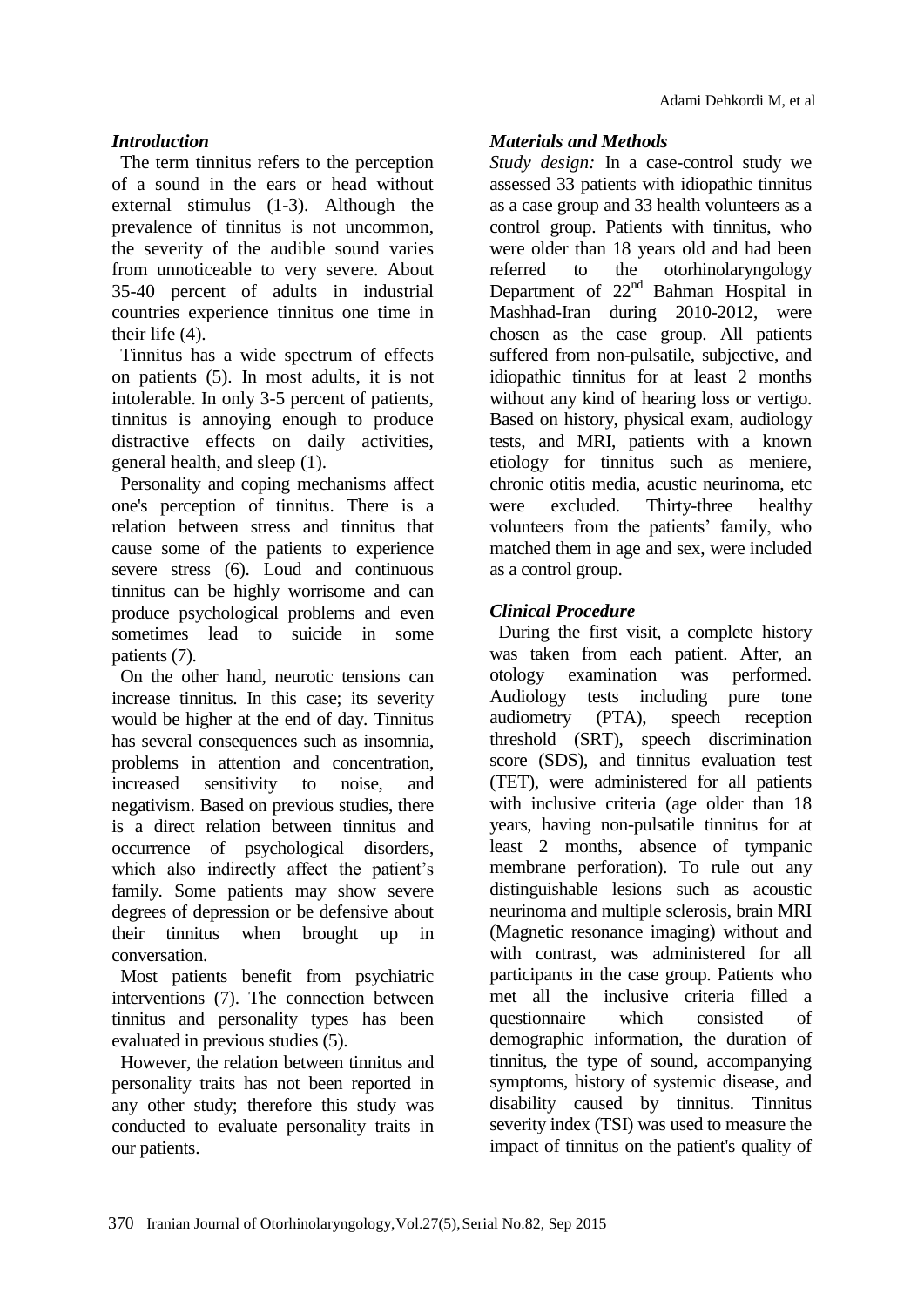## *Introduction*

The term tinnitus refers to the perception of a sound in the ears or head without external stimulus (1-3). Although the prevalence of tinnitus is not uncommon, the severity of the audible sound varies from unnoticeable to very severe. About 35-40 percent of adults in industrial countries experience tinnitus one time in their life (4).

Tinnitus has a wide spectrum of effects on patients (5). In most adults, it is not intolerable. In only 3-5 percent of patients, tinnitus is annoying enough to produce distractive effects on daily activities, general health, and sleep (1).

Personality and coping mechanisms affect one's perception of tinnitus. There is a relation between stress and tinnitus that cause some of the patients to experience severe stress (6). Loud and continuous tinnitus can be highly worrisome and can produce psychological problems and even sometimes lead to suicide in some patients (7).

On the other hand, neurotic tensions can increase tinnitus. In this case; its severity would be higher at the end of day. Tinnitus has several consequences such as insomnia. problems in attention and concentration, increased sensitivity to noise, and negativism. Based on previous studies, there is a direct relation between tinnitus and occurrence of psychological disorders, which also indirectly affect the patient's family. Some patients may show severe degrees of depression or be defensive about their tinnitus when brought up in conversation.

Most patients benefit from psychiatric interventions (7). The connection between tinnitus and personality types has been evaluated in previous studies (5).

However, the relation between tinnitus and personality traits has not been reported in any other study; therefore this study was conducted to evaluate personality traits in our patients.

### *Materials and Methods*

*Study design:* In a case-control study we assessed 33 patients with idiopathic tinnitus as a case group and 33 health volunteers as a control group. Patients with tinnitus, who were older than 18 years old and had been referred to the otorhinolaryngology Department of  $22<sup>nd</sup>$  Bahman Hospital in Mashhad-Iran during 2010-2012, were chosen as the case group. All patients suffered from non-pulsatile, subjective, and idiopathic tinnitus for at least 2 months without any kind of hearing loss or vertigo. Based on history, physical exam, audiology tests, and MRI, patients with a known etiology for tinnitus such as meniere, chronic otitis media, acustic neurinoma, etc were excluded. Thirty-three healthy volunteers from the patients' family, who matched them in age and sex, were included as a control group.

## *Clinical Procedure*

During the first visit, a complete history was taken from each patient. After, an otology examination was performed. Audiology tests including pure tone audiometry (PTA), speech reception threshold (SRT), speech discrimination score (SDS), and tinnitus evaluation test (TET), were administered for all patients with inclusive criteria (age older than 18 years, having non-pulsatile tinnitus for at least 2 months, absence of tympanic membrane perforation). To rule out any distinguishable lesions such as acoustic neurinoma and multiple sclerosis, brain MRI (Magnetic resonance imaging) without and with contrast, was administered for all participants in the case group. Patients who met all the inclusive criteria filled a questionnaire which consisted of demographic information, the duration of tinnitus, the type of sound, accompanying symptoms, history of systemic disease, and disability caused by tinnitus. Tinnitus severity index (TSI) was used to measure the impact of tinnitus on the patient's quality of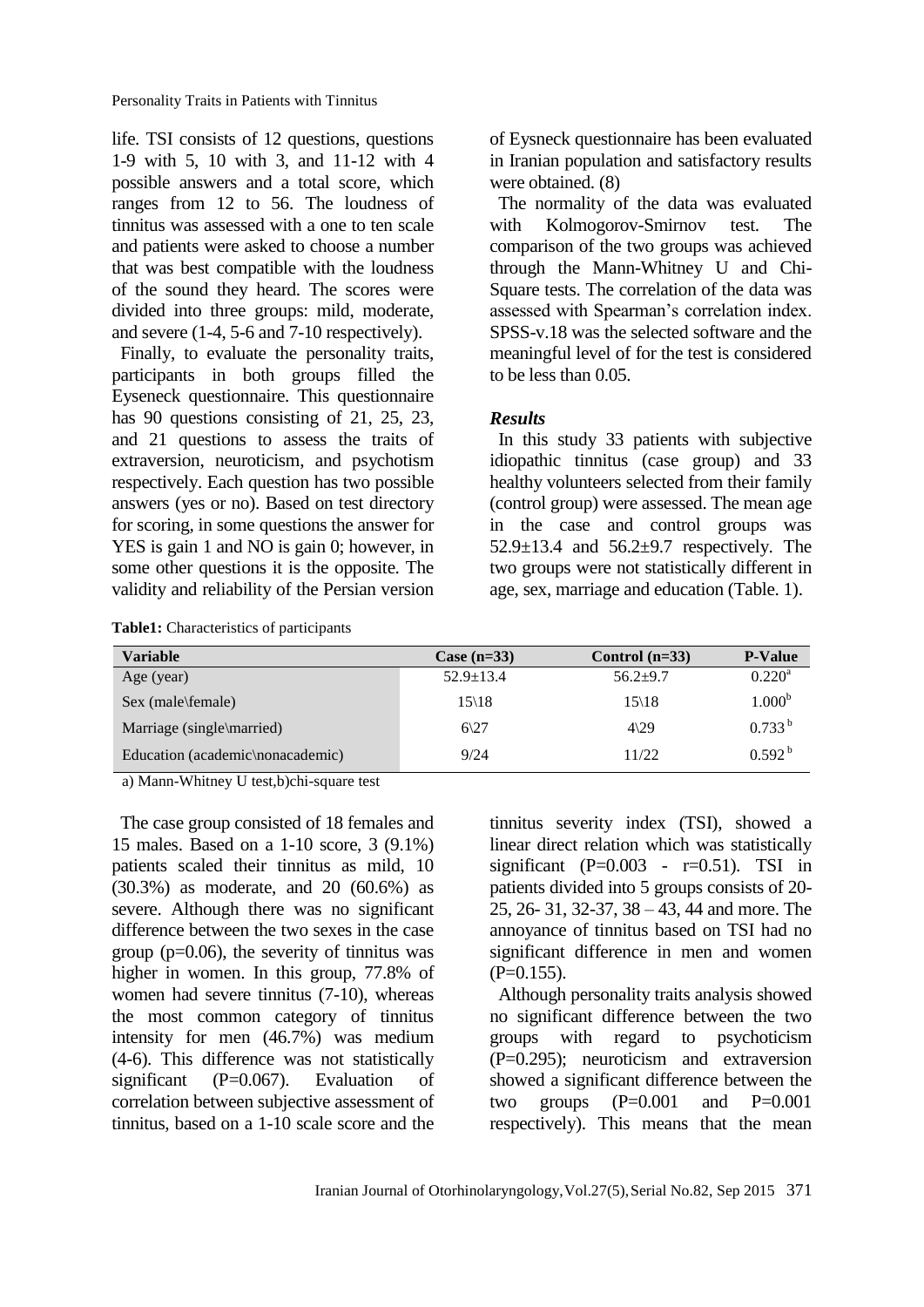Personality Traits in Patients with Tinnitus

life. TSI consists of 12 questions, questions 1-9 with 5, 10 with 3, and 11-12 with 4 possible answers and a total score, which ranges from 12 to 56. The loudness of tinnitus was assessed with a one to ten scale and patients were asked to choose a number that was best compatible with the loudness of the sound they heard. The scores were divided into three groups: mild, moderate, and severe (1-4, 5-6 and 7-10 respectively).

Finally, to evaluate the personality traits, participants in both groups filled the Eyseneck questionnaire. This questionnaire has 90 questions consisting of 21, 25, 23, and 21 questions to assess the traits of extraversion, neuroticism, and psychotism respectively. Each question has two possible answers (yes or no). Based on test directory for scoring, in some questions the answer for YES is gain 1 and NO is gain 0; however, in some other questions it is the opposite. The validity and reliability of the Persian version

**Table1:** Characteristics of participants

of Eysneck questionnaire has been evaluated in Iranian population and satisfactory results were obtained. (8)

The normality of the data was evaluated with Kolmogorov-Smirnov test. The comparison of the two groups was achieved through the Mann-Whitney U and Chi-Square tests. The correlation of the data was assessed with Spearman's correlation index. SPSS-v.18 was the selected software and the meaningful level of for the test is considered to be less than 0.05.

#### *Results*

In this study 33 patients with subjective idiopathic tinnitus (case group) and 33 healthy volunteers selected from their family (control group) were assessed. The mean age in the case and control groups was 52.9±13.4 and 56.2±9.7 respectively. The two groups were not statistically different in age, sex, marriage and education (Table. 1).

| Variable                         | Case $(n=33)$     | Control $(n=33)$  | <b>P-Value</b>     |
|----------------------------------|-------------------|-------------------|--------------------|
| Age (year)                       | $52.9 \pm 13.4$   | $56.2 + 9.7$      | $0.220^{\rm a}$    |
| Sex (male\female)                | $15\backslash 18$ | $15\backslash 18$ | 1.000 <sup>b</sup> |
| Marriage (single\married)        | $6\frac{27}{2}$   | $4\sqrt{29}$      | $0.733^{b}$        |
| Education (academic\nonacademic) | 9/24              | 11/22             | 0.592 <sup>b</sup> |

a) Mann-Whitney U test,b)chi-square test

The case group consisted of 18 females and 15 males. Based on a 1-10 score, 3 (9.1%) patients scaled their tinnitus as mild, 10 (30.3%) as moderate, and 20 (60.6%) as severe. Although there was no significant difference between the two sexes in the case group ( $p=0.06$ ), the severity of tinnitus was higher in women. In this group, 77.8% of women had severe tinnitus (7-10), whereas the most common category of tinnitus intensity for men (46.7%) was medium (4-6). This difference was not statistically significant (P=0.067). Evaluation of correlation between subjective assessment of tinnitus, based on a 1-10 scale score and the tinnitus severity index (TSI), showed a linear direct relation which was statistically significant (P= $0.003$  - r= $0.51$ ). TSI in patients divided into 5 groups consists of 20- 25, 26- 31, 32-37, 38 – 43, 44 and more. The annoyance of tinnitus based on TSI had no significant difference in men and women  $(P=0.155)$ .

Although personality traits analysis showed no significant difference between the two groups with regard to psychoticism (P=0.295); neuroticism and extraversion showed a significant difference between the two groups  $(P=0.001$  and  $P=0.001$ respectively). This means that the mean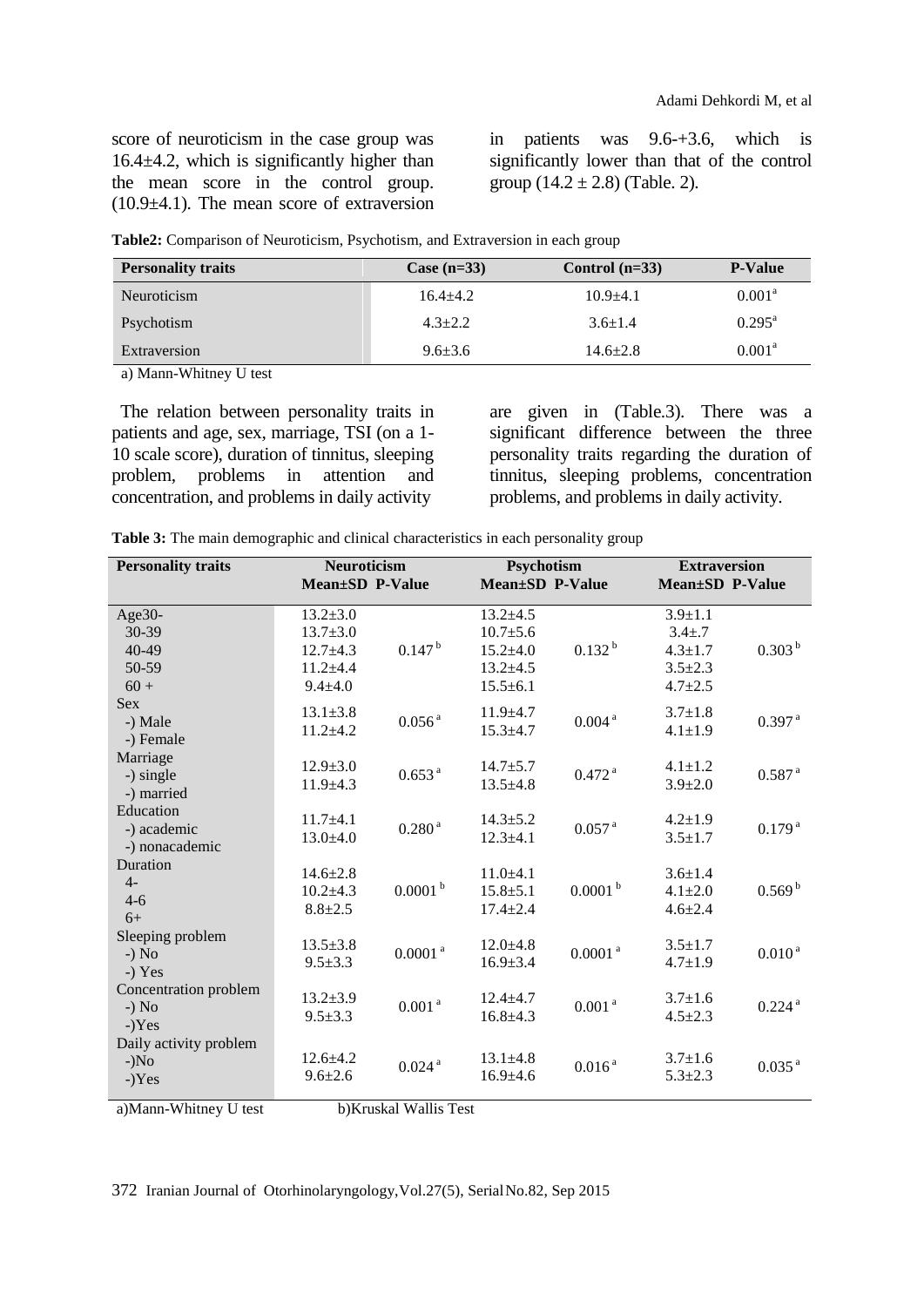score of neuroticism in the case group was 16.4±4.2, which is significantly higher than the mean score in the control group. (10.9±4.1). The mean score of extraversion

in patients was 9.6-+3.6, which is significantly lower than that of the control group  $(14.2 \pm 2.8)$  (Table. 2).

| <b>Personality traits</b> | Case $(n=33)$ | Control $(n=33)$ | <b>P-Value</b>     |
|---------------------------|---------------|------------------|--------------------|
| Neuroticism               | $16.4 + 4.2$  | $10.9 + 4.1$     | $0.001^{\text{a}}$ |
| Psychotism                | $4.3 + 2.2$   | $3.6 \pm 1.4$    | $0.295^{\text{a}}$ |
| Extraversion              | $9.6 + 3.6$   | $14.6 \pm 2.8$   | $0.001^{\text{a}}$ |

**Table2:** Comparison of Neuroticism, Psychotism, and Extraversion in each group

a) Mann-Whitney U test

The relation between personality traits in patients and age, sex, marriage, TSI (on a 1- 10 scale score), duration of tinnitus, sleeping problem, problems in attention and concentration, and problems in daily activity

are given in (Table.3). There was a significant difference between the three personality traits regarding the duration of tinnitus, sleeping problems, concentration problems, and problems in daily activity.

| <b>Personality traits</b>                     | <b>Neuroticism</b><br>Mean±SD P-Value                                           |                      | Psychotism<br><b>Mean±SD P-Value</b>                                               |                       | <b>Extraversion</b><br><b>Mean±SD P-Value</b>                                    |                      |
|-----------------------------------------------|---------------------------------------------------------------------------------|----------------------|------------------------------------------------------------------------------------|-----------------------|----------------------------------------------------------------------------------|----------------------|
| $Age30-$<br>30-39<br>40-49<br>50-59<br>$60 +$ | $13.2 \pm 3.0$<br>$13.7 \pm 3.0$<br>$12.7 + 4.3$<br>$11.2 + 4.4$<br>$9.4 + 4.0$ | $0.147^{b}$          | $13.2 + 4.5$<br>$10.7 \pm 5.6$<br>$15.2{\pm}4.0$<br>$13.2 + 4.5$<br>$15.5 \pm 6.1$ | $0.132^{b}$           | $3.9 \pm 1.1$<br>$3.4 \pm .7$<br>$4.3 \pm 1.7$<br>$3.5 \pm 2.3$<br>$4.7 \pm 2.5$ | 0.303 <sup>b</sup>   |
| <b>Sex</b><br>-) Male<br>-) Female            | $13.1 \pm 3.8$<br>$11.2 + 4.2$                                                  | $0.056$ <sup>a</sup> | $11.9 \pm 4.7$<br>$15.3 \pm 4.7$                                                   | $0.004$ $^{\rm a}$    | $3.7 \pm 1.8$<br>$4.1 \pm 1.9$                                                   | $0.397$ <sup>a</sup> |
| Marriage<br>-) single<br>-) married           | $12.9 \pm 3.0$<br>$11.9 + 4.3$                                                  | 0.653 <sup>a</sup>   | $14.7 + 5.7$<br>$13.5 + 4.8$                                                       | $0.472$ <sup>a</sup>  | $4.1 \pm 1.2$<br>$3.9 \pm 2.0$                                                   | $0.587$ <sup>a</sup> |
| Education<br>-) academic<br>-) nonacademic    | $11.7 + 4.1$<br>$13.0 + 4.0$                                                    | 0.280 <sup>a</sup>   | $14.3 \pm 5.2$<br>$12.3 \pm 4.1$                                                   | $0.057$ <sup>a</sup>  | $4.2 \pm 1.9$<br>$3.5 \pm 1.7$                                                   | 0.179 <sup>a</sup>   |
| Duration<br>$4-$<br>$4 - 6$<br>$6+$           | $14.6 \pm 2.8$<br>$10.2{\pm}4.3$<br>$8.8 + 2.5$                                 | 0.0001 <sup>b</sup>  | $11.0+4.1$<br>$15.8 + 5.1$<br>$17.4 \pm 2.4$                                       | 0.0001 <sup>b</sup>   | $3.6 \pm 1.4$<br>$4.1 \pm 2.0$<br>$4.6 \pm 2.4$                                  | 0.569 <sup>b</sup>   |
| Sleeping problem<br>$-$ ) No<br>$-$ ) Yes     | $13.5 \pm 3.8$<br>$9.5 \pm 3.3$                                                 | $0.0001$ $^{\rm a}$  | $12.0 \pm 4.8$<br>$16.9 \pm 3.4$                                                   | $0.0001$ <sup>a</sup> | $3.5 \pm 1.7$<br>$4.7 \pm 1.9$                                                   | 0.010 <sup>a</sup>   |
| Concentration problem<br>$-$ ) No<br>$-Yes$   | $13.2 \pm 3.9$<br>$9.5 \pm 3.3$                                                 | $0.001$ $^{\rm a}$   | $12.4 + 4.7$<br>$16.8 \pm 4.3$                                                     | 0.001 <sup>a</sup>    | $3.7 \pm 1.6$<br>$4.5 \pm 2.3$                                                   | $0.224$ <sup>a</sup> |
| Daily activity problem<br>$-)No$<br>$-)Yes$   | $12.6 \pm 4.2$<br>$9.6 \pm 2.6$                                                 | $0.024$ <sup>a</sup> | $13.1 \pm 4.8$<br>$16.9{\pm}4.6$                                                   | 0.016 <sup>a</sup>    | $3.7 \pm 1.6$<br>$5.3 \pm 2.3$                                                   | 0.035 <sup>a</sup>   |

a)Mann-Whitney U test b)Kruskal Wallis Test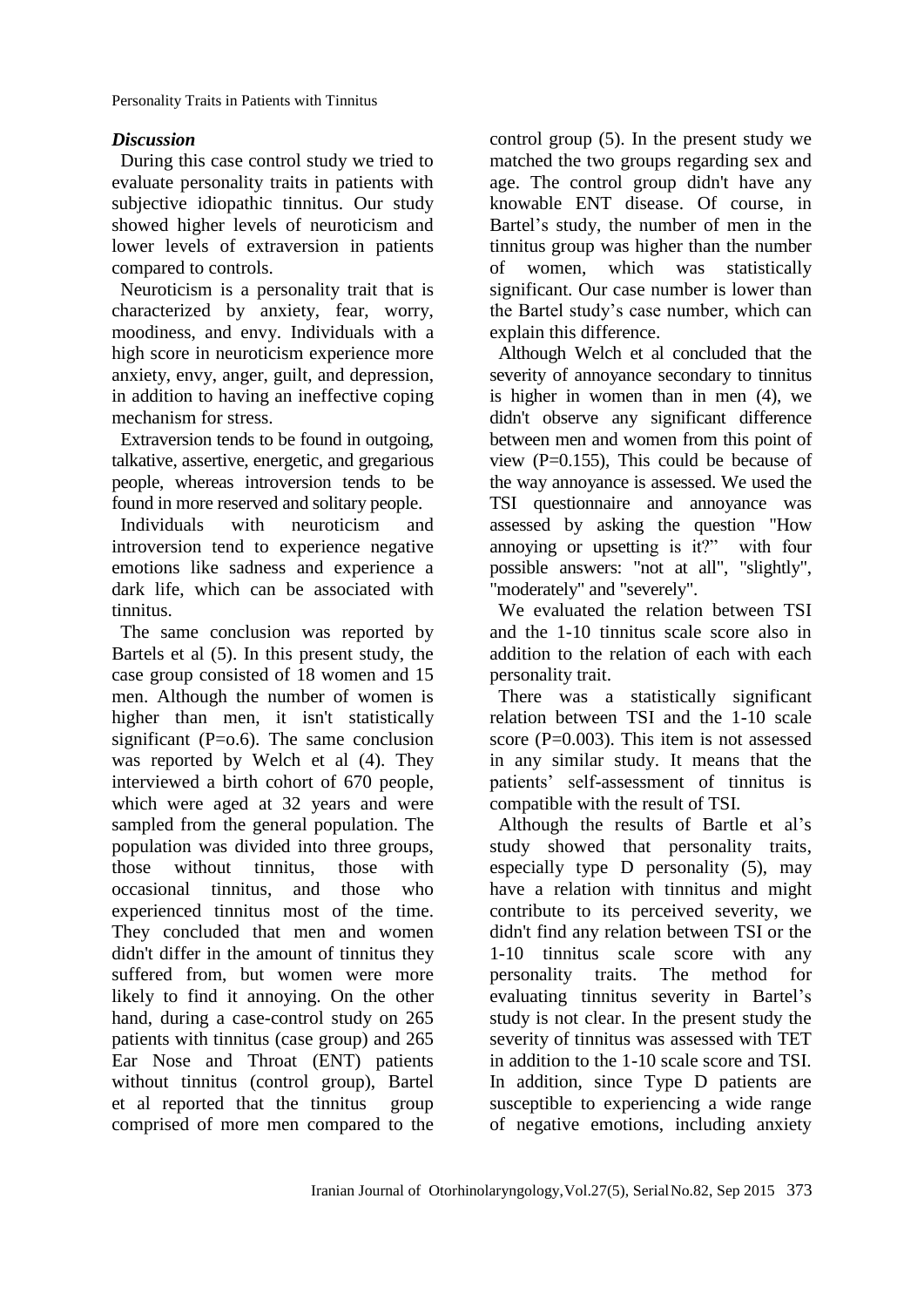Personality Traits in Patients with Tinnitus

#### *Discussion*

During this case control study we tried to evaluate personality traits in patients with subjective idiopathic tinnitus. Our study showed higher levels of neuroticism and lower levels of extraversion in patients compared to controls.

Neuroticism is a [personality trait](http://en.wikipedia.org/wiki/Trait_theory) that is characterized by anxiety, fear, worry, moodiness, and envy. Individuals with a high score in neuroticism experience more [anxiety,](http://en.wikipedia.org/wiki/Anxiety) [envy,](http://en.wikipedia.org/wiki/Envy) [anger,](http://en.wikipedia.org/wiki/Anger) [guilt,](http://en.wikipedia.org/wiki/Guilt_%28emotion%29) and depression, in addition to having an ineffective coping mechanism for stress.

Extraversion tends to be found in outgoing, talkative, [assertive,](http://en.wikipedia.org/wiki/Assertive) energetic, and [gregarious](http://en.wiktionary.org/wiki/gregarious) people, whereas introversion tends to be found in more reserved and solitary people.

Individuals with neuroticism and introversion tend to experience negative emotions like sadness and experience a dark life, which can be associated with tinnitus.

The same conclusion was reported by Bartels et al (5). In this present study, the case group consisted of 18 women and 15 men. Although the number of women is higher than men, it isn't statistically significant  $(P=0.6)$ . The same conclusion was reported by Welch et al (4). They interviewed a birth cohort of 670 people, which were aged at 32 years and were sampled from the general population. The population was divided into three groups, those without tinnitus, those with occasional tinnitus, and those who experienced tinnitus most of the time. They concluded that men and women didn't differ in the amount of tinnitus they suffered from, but women were more likely to find it annoying. On the other hand, during a case-control study on 265 patients with tinnitus (case group) and 265 Ear Nose and Throat (ENT) patients without tinnitus (control group), Bartel et al reported that the tinnitus group comprised of more men compared to the

control group (5). In the present study we matched the two groups regarding sex and age. The control group didn't have any knowable ENT disease. Of course, in Bartel's study, the number of men in the tinnitus group was higher than the number of women, which was statistically significant. Our case number is lower than the Bartel study's case number, which can explain this difference.

Although Welch et al concluded that the severity of annoyance secondary to tinnitus is higher in women than in men (4), we didn't observe any significant difference between men and women from this point of view  $(P=0.155)$ , This could be because of the way annoyance is assessed. We used the TSI questionnaire and annoyance was assessed by asking the question "How annoying or upsetting is it?" with four possible answers: "not at all", "slightly", "moderately" and "severely".

We evaluated the relation between TSI and the 1-10 tinnitus scale score also in addition to the relation of each with each personality trait.

There was a statistically significant relation between TSI and the 1-10 scale score  $(P=0.003)$ . This item is not assessed in any similar study. It means that the patients' self-assessment of tinnitus is compatible with the result of TSI.

Although the results of Bartle et al's study showed that personality traits, especially type D personality (5), may have a relation with tinnitus and might contribute to its perceived severity, we didn't find any relation between TSI or the 1-10 tinnitus scale score with any personality traits. The method for evaluating tinnitus severity in Bartel's study is not clear. In the present study the severity of tinnitus was assessed with TET in addition to the 1-10 scale score and TSI. In addition, since Type D patients are susceptible to experiencing a wide range of negative emotions, including anxiety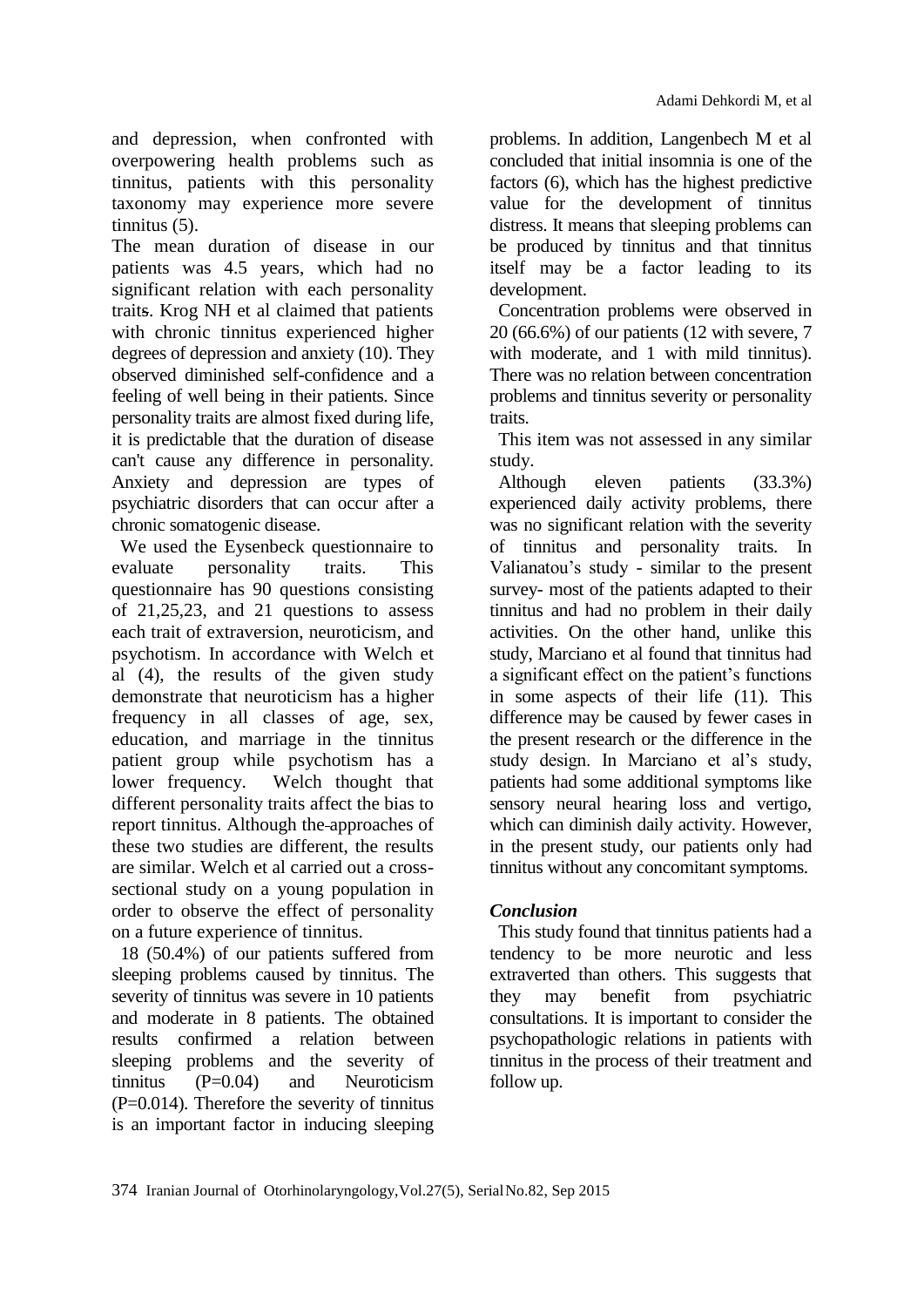and depression, when confronted with overpowering health problems such as tinnitus, patients with this personality taxonomy may experience more severe tinnitus (5).

The mean duration of disease in our patients was 4.5 years, which had no significant relation with each personality traits. Krog NH et al claimed that patients with chronic tinnitus experienced higher degrees of depression and anxiety (10). They observed diminished self-confidence and a feeling of well being in their patients. Since personality traits are almost fixed during life, it is predictable that the duration of disease can't cause any difference in personality. Anxiety and depression are types of psychiatric disorders that can occur after a chronic somatogenic disease.

We used the Eysenbeck questionnaire to evaluate personality traits. This questionnaire has 90 questions consisting of 21,25,23, and 21 questions to assess each trait of extraversion, neuroticism, and psychotism. In accordance with Welch et al (4), the results of the given study demonstrate that neuroticism has a higher frequency in all classes of age, sex, education, and marriage in the tinnitus patient group while psychotism has a lower frequency. Welch thought that different personality traits affect the bias to report tinnitus. Although the approaches of these two studies are different, the results are similar. Welch et al carried out a crosssectional study on a young population in order to observe the effect of personality on a future experience of tinnitus.

18 (50.4%) of our patients suffered from sleeping problems caused by tinnitus. The severity of tinnitus was severe in 10 patients and moderate in 8 patients. The obtained results confirmed a relation between sleeping problems and the severity of tinnitus (P=0.04) and Neuroticism  $(P=0.014)$ . Therefore the severity of tinnitus is an important factor in inducing sleeping problems. In addition, Langenbech M et al concluded that initial insomnia is one of the factors (6), which has the highest predictive value for the development of tinnitus distress. It means that sleeping problems can be produced by tinnitus and that tinnitus itself may be a factor leading to its development.

Concentration problems were observed in 20 (66.6%) of our patients (12 with severe, 7 with moderate, and 1 with mild tinnitus). There was no relation between concentration problems and tinnitus severity or personality traits.

This item was not assessed in any similar study.

Although eleven patients (33.3%) experienced daily activity problems, there was no significant relation with the severity of tinnitus and personality traits. In Valianatou's study - similar to the present survey- most of the patients adapted to their tinnitus and had no problem in their daily activities. On the other hand, unlike this study, Marciano et al found that tinnitus had a significant effect on the patient's functions in some aspects of their life (11). This difference may be caused by fewer cases in the present research or the difference in the study design. In Marciano et al's study, patients had some additional symptoms like sensory neural hearing loss and vertigo, which can diminish daily activity. However, in the present study, our patients only had tinnitus without any concomitant symptoms.

### *Conclusion*

This study found that tinnitus patients had a tendency to be more neurotic and less extraverted than others. This suggests that they may benefit from psychiatric consultations. It is important to consider the psychopathologic relations in patients with tinnitus in the process of their treatment and follow up.